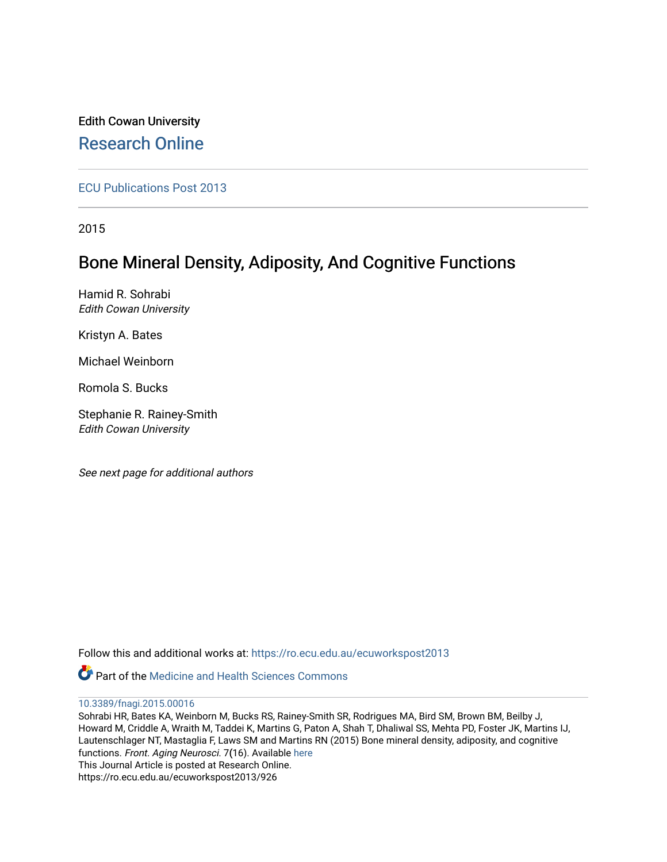## Edith Cowan University [Research Online](https://ro.ecu.edu.au/)

[ECU Publications Post 2013](https://ro.ecu.edu.au/ecuworkspost2013)

2015

# Bone Mineral Density, Adiposity, And Cognitive Functions

Hamid R. Sohrabi Edith Cowan University

Kristyn A. Bates

Michael Weinborn

Romola S. Bucks

Stephanie R. Rainey-Smith Edith Cowan University

See next page for additional authors

Follow this and additional works at: [https://ro.ecu.edu.au/ecuworkspost2013](https://ro.ecu.edu.au/ecuworkspost2013?utm_source=ro.ecu.edu.au%2Fecuworkspost2013%2F926&utm_medium=PDF&utm_campaign=PDFCoverPages) 



[10.3389/fnagi.2015.00016](http://dx.doi.org/10.3389/fnagi.2015.00016) 

Sohrabi HR, Bates KA, Weinborn M, Bucks RS, Rainey-Smith SR, Rodrigues MA, Bird SM, Brown BM, Beilby J, Howard M, Criddle A, Wraith M, Taddei K, Martins G, Paton A, Shah T, Dhaliwal SS, Mehta PD, Foster JK, Martins IJ, Lautenschlager NT, Mastaglia F, Laws SM and Martins RN (2015) Bone mineral density, adiposity, and cognitive functions. Front. Aging Neurosci. 7(16). Available [here](http://dx.doi.org/10.3389/fnagi.2015.00016) This Journal Article is posted at Research Online. https://ro.ecu.edu.au/ecuworkspost2013/926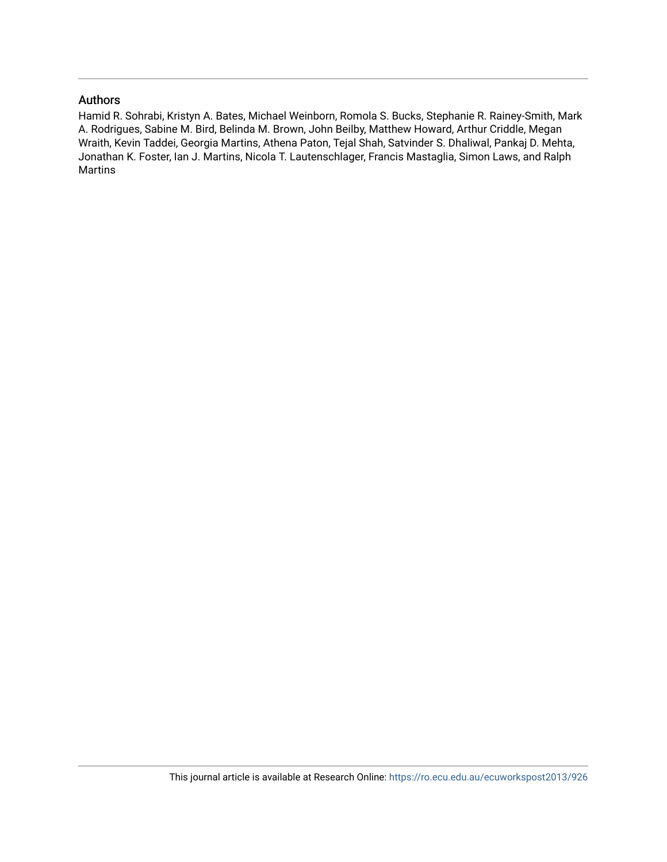## Authors

Hamid R. Sohrabi, Kristyn A. Bates, Michael Weinborn, Romola S. Bucks, Stephanie R. Rainey-Smith, Mark A. Rodrigues, Sabine M. Bird, Belinda M. Brown, John Beilby, Matthew Howard, Arthur Criddle, Megan Wraith, Kevin Taddei, Georgia Martins, Athena Paton, Tejal Shah, Satvinder S. Dhaliwal, Pankaj D. Mehta, Jonathan K. Foster, Ian J. Martins, Nicola T. Lautenschlager, Francis Mastaglia, Simon Laws, and Ralph Martins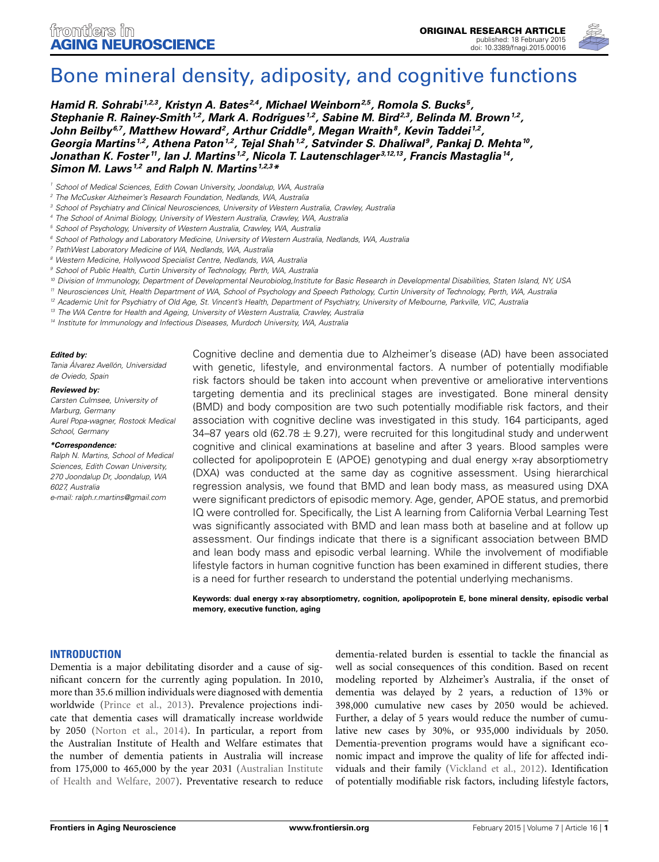

# [Bone mineral density, adiposity, and cognitive functions](http://www.frontiersin.org/journal/10.3389/fnagi.2015.00016/abstract)

*[Hamid R. Sohrabi](http://community.frontiersin.org/people/u/157573) 1,2,3, [Kristyn A. Bates](http://community.frontiersin.org/people/u/210689) 2,4, Michael Weinborn2,5, Romola S. Bucks 5, Stephanie R. Rainey-Smith1,2, Mark A. Rodrigues 1,2, [Sabine M. Bird2](http://community.frontiersin.org/people/u/202538),3, [Belinda M. Brown](http://community.frontiersin.org/people/u/202542)1,2,* [John Beilby](http://community.frontiersin.org/people/u/195037)<sup>6,7</sup>, Matthew Howard<sup>2</sup>, Arthur Criddle<sup>8</sup>, Megan Wraith<sup>8</sup>, Kevin Taddei<sup>1,2</sup>, *Georgia Martins 1,2, Athena Paton1,2, Tejal Shah1,2, Satvinder S. Dhaliwal 9, Pankaj D. Mehta10, Jonathan K. Foster 11, Ian J. Martins 1,2, [Nicola T. Lautenschlager](http://community.frontiersin.org/people/u/211737) 3,12,13, Francis Mastaglia14, [Simon M. Laws](http://community.frontiersin.org/people/u/195029) 1,2 and Ralph N. Martins 1,2,3\**

*<sup>1</sup> School of Medical Sciences, Edith Cowan University, Joondalup, WA, Australia*

- *<sup>3</sup> School of Psychiatry and Clinical Neurosciences, University of Western Australia, Crawley, Australia*
- *<sup>4</sup> The School of Animal Biology, University of Western Australia, Crawley, WA, Australia*
- *<sup>5</sup> School of Psychology, University of Western Australia, Crawley, WA, Australia*
- *<sup>6</sup> School of Pathology and Laboratory Medicine, University of Western Australia, Nedlands, WA, Australia*
- *<sup>7</sup> PathWest Laboratory Medicine of WA, Nedlands, WA, Australia*
- *<sup>8</sup> Western Medicine, Hollywood Specialist Centre, Nedlands, WA, Australia*
- *<sup>9</sup> School of Public Health, Curtin University of Technology, Perth, WA, Australia*
- *<sup>10</sup> Division of Immunology, Department of Developmental Neurobiolog,Institute for Basic Research in Developmental Disabilities, Staten Island, NY, USA*
- *<sup>11</sup> Neurosciences Unit, Health Department of WA, School of Psychology and Speech Pathology, Curtin University of Technology, Perth, WA, Australia*

*<sup>12</sup> Academic Unit for Psychiatry of Old Age, St. Vincent's Health, Department of Psychiatry, University of Melbourne, Parkville, VIC, Australia*

- *<sup>13</sup> The WA Centre for Health and Ageing, University of Western Australia, Crawley, Australia*
- *<sup>14</sup> Institute for Immunology and Infectious Diseases, Murdoch University, WA, Australia*

#### *Edited by:*

*Tania Álvarez Avellón, Universidad de Oviedo, Spain*

#### *Reviewed by:*

*Carsten Culmsee, University of Marburg, Germany Aurel Popa-wagner, Rostock Medical School, Germany*

#### *\*Correspondence:*

*Ralph N. Martins, School of Medical Sciences, Edith Cowan University, 270 Joondalup Dr, Joondalup, WA 6027, Australia e-mail: [ralph.r.martins@gmail.com](mailto:ralph.r.martins@gmail.com)*

Cognitive decline and dementia due to Alzheimer's disease (AD) have been associated with genetic, lifestyle, and environmental factors. A number of potentially modifiable risk factors should be taken into account when preventive or ameliorative interventions targeting dementia and its preclinical stages are investigated. Bone mineral density (BMD) and body composition are two such potentially modifiable risk factors, and their association with cognitive decline was investigated in this study. 164 participants, aged 34–87 years old (62.78  $\pm$  9.27), were recruited for this longitudinal study and underwent cognitive and clinical examinations at baseline and after 3 years. Blood samples were collected for apolipoprotein E (APOE) genotyping and dual energy x-ray absorptiometry (DXA) was conducted at the same day as cognitive assessment. Using hierarchical regression analysis, we found that BMD and lean body mass, as measured using DXA were significant predictors of episodic memory. Age, gender, APOE status, and premorbid IQ were controlled for. Specifically, the List A learning from California Verbal Learning Test was significantly associated with BMD and lean mass both at baseline and at follow up assessment. Our findings indicate that there is a significant association between BMD and lean body mass and episodic verbal learning. While the involvement of modifiable lifestyle factors in human cognitive function has been examined in different studies, there is a need for further research to understand the potential underlying mechanisms.

**Keywords: dual energy x-ray absorptiometry, cognition, apolipoprotein E, bone mineral density, episodic verbal memory, executive function, aging**

#### **INTRODUCTION**

Dementia is a major debilitating disorder and a cause of significant concern for the currently aging population. In 2010, more than 35.6 million individuals were diagnosed with dementia worldwide [\(Prince et al., 2013](#page-10-0)). Prevalence projections indicate that dementia cases will dramatically increase worldwide by 2050 [\(Norton et al.](#page-10-1), [2014](#page-10-1)). In particular, a report from the Australian Institute of Health and Welfare estimates that the number of dementia patients in Australia will increase from 175,000 to 465,0[00](#page-9-0) [by](#page-9-0) [the](#page-9-0) [year](#page-9-0) [2031](#page-9-0) [\(](#page-9-0)Australian Institute of Health and Welfare, [2007\)](#page-9-0). Preventative research to reduce

dementia-related burden is essential to tackle the financial as well as social consequences of this condition. Based on recent modeling reported by Alzheimer's Australia, if the onset of dementia was delayed by 2 years, a reduction of 13% or 398,000 cumulative new cases by 2050 would be achieved. Further, a delay of 5 years would reduce the number of cumulative new cases by 30%, or 935,000 individuals by 2050. Dementia-prevention programs would have a significant economic impact and improve the quality of life for affected individuals and their family [\(Vickland et al., 2012](#page-11-0)). Identification of potentially modifiable risk factors, including lifestyle factors,

*<sup>2</sup> The McCusker Alzheimer's Research Foundation, Nedlands, WA, Australia*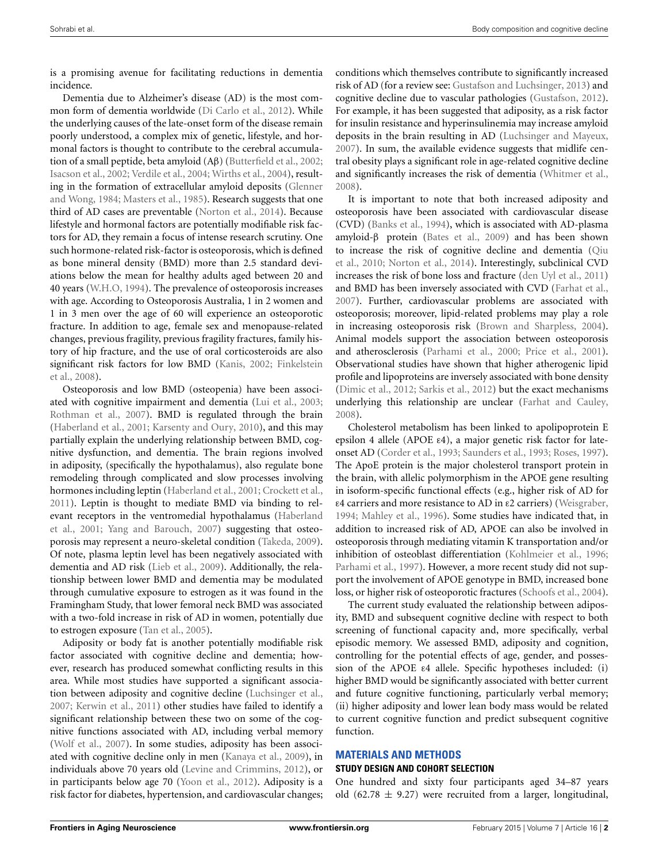is a promising avenue for facilitating reductions in dementia incidence.

Dementia due to Alzheimer's disease (AD) is the most common form of dementia worldwide [\(Di Carlo et al.](#page-9-1), [2012\)](#page-9-1). While the underlying causes of the late-onset form of the disease remain poorly understood, a complex mix of genetic, lifestyle, and hormonal factors is thought to contribute to the cerebral accumulation of a small peptide, beta amyloid (Aβ) [\(Butterfield et al.](#page-9-2), [2002;](#page-9-2) [Isacson et al., 2002;](#page-10-2) [Verdile et al.](#page-10-3), [2004](#page-10-3); [Wirths et al.](#page-11-1), [2004\)](#page-11-1), resulting in the [formation of extracellular amyloid deposits \(](#page-10-4)Glenner and Wong, [1984;](#page-10-4) [Masters et al.](#page-10-5), [1985\)](#page-10-5). Research suggests that one third of AD cases are preventable [\(Norton et al., 2014\)](#page-10-1). Because lifestyle and hormonal factors are potentially modifiable risk factors for AD, they remain a focus of intense research scrutiny. One such hormone-related risk-factor is osteoporosis, which is defined as bone mineral density (BMD) more than 2.5 standard deviations below the mean for healthy adults aged between 20 and 40 years [\(W.H.O](#page-11-2), [1994\)](#page-11-2). The prevalence of osteoporosis increases with age. According to Osteoporosis Australia, 1 in 2 women and 1 in 3 men over the age of 60 will experience an osteoporotic fracture. In addition to age, female sex and menopause-related changes, previous fragility, previous fragility fractures, family history of hip fracture, and the use of oral corticosteroids are also sign[ificant risk factors for low BMD](#page-9-3) [\(Kanis](#page-10-6)[,](#page-9-3) [2002](#page-10-6)[;](#page-9-3) Finkelstein et al., [2008\)](#page-9-3).

Osteoporosis and low BMD (osteopenia) have been associated with cognitive impairment and dementia [\(Lui et al., 2003;](#page-10-7) [Rothman et al.](#page-10-8), [2007\)](#page-10-8). BMD is regulated through the brain [\(Haberland et al., 2001](#page-10-9); [Karsenty and Oury, 2010](#page-10-10)), and this may partially explain the underlying relationship between BMD, cognitive dysfunction, and dementia. The brain regions involved in adiposity, (specifically the hypothalamus), also regulate bone remodeling through complicated and slow processes involving hormones including leptin [\(Haberland et al., 2001](#page-10-9); [Crockett et al.](#page-9-4), [2011](#page-9-4)). Leptin is thought to mediate BMD via binding to relevant [receptors in the ventromedial hypothalamus \(](#page-10-9)Haberland et al., [2001;](#page-10-9) [Yang and Barouch](#page-11-3), [2007](#page-11-3)) suggesting that osteoporosis may represent a neuro-skeletal condition [\(Takeda](#page-10-11), [2009\)](#page-10-11). Of note, plasma leptin level has been negatively associated with dementia and AD risk [\(Lieb et al., 2009\)](#page-10-12). Additionally, the relationship between lower BMD and dementia may be modulated through cumulative exposure to estrogen as it was found in the Framingham Study, that lower femoral neck BMD was associated with a two-fold increase in risk of AD in women, potentially due to estrogen exposure [\(Tan et al.](#page-10-13), [2005](#page-10-13)).

Adiposity or body fat is another potentially modifiable risk factor associated with cognitive decline and dementia; however, research has produced somewhat conflicting results in this area. While most studies have supported a significant association between adiposity and cognitive decline [\(Luchsinger et al.](#page-10-14), [2007](#page-10-14); [Kerwin et al.](#page-10-15), [2011\)](#page-10-15) other studies have failed to identify a significant relationship between these two on some of the cognitive functions associated with AD, including verbal memory [\(Wolf et al.](#page-11-4), [2007](#page-11-4)). In some studies, adiposity has been associated with cognitive decline only in men [\(Kanaya et al.](#page-10-16), [2009\)](#page-10-16), in individuals above 70 years old [\(Levine and Crimmins, 2012\)](#page-10-17), or in participants below age 70 [\(Yoon et al.](#page-11-5), [2012](#page-11-5)). Adiposity is a risk factor for diabetes, hypertension, and cardiovascular changes;

conditions which themselves contribute to significantly increased risk of AD (for a review see: [Gustafson and Luchsinger](#page-10-18), [2013\)](#page-10-18) and cognitive decline due to vascular pathologies [\(Gustafson, 2012\)](#page-10-19). For example, it has been suggested that adiposity, as a risk factor for insulin resistance and hyperinsulinemia may increase amyloid deposits in the brain resulting in AD [\(Luchsinger and Mayeux](#page-10-20), [2007](#page-10-20)). In sum, the available evidence suggests that midlife central obesity plays a significant role in age-related cognitive decline and significantly increases the risk of dementia [\(Whitmer et al.](#page-11-6), [2008](#page-11-6)).

It is important to note that both increased adiposity and osteoporosis have been associated with cardiovascular disease (CVD) [\(Banks et al., 1994\)](#page-9-5), which is associated with AD-plasma amyloid-β protein [\(Bates et al.](#page-9-6), [2009\)](#page-9-6) and has been shown to i[ncrease](#page-10-21) [the](#page-10-21) [risk](#page-10-21) [of](#page-10-21) [cognitive](#page-10-21) [decline](#page-10-21) [and](#page-10-21) [dementia](#page-10-21) [\(](#page-10-21)Qiu et al., [2010;](#page-10-21) [Norton et al.](#page-10-1), [2014](#page-10-1)). Interestingly, subclinical CVD increases the risk of bone loss and fracture [\(den Uyl et al.](#page-9-7), [2011](#page-9-7)) and BMD has been inversely associated with CVD [\(Farhat et al.](#page-9-8), [2007](#page-9-8)). Further, cardiovascular problems are associated with osteoporosis; moreover, lipid-related problems may play a role in increasing osteoporosis risk [\(Brown and Sharpless, 2004\)](#page-9-9). Animal models support the association between osteoporosis and atherosclerosis [\(Parhami et al., 2000;](#page-10-22) [Price et al., 2001\)](#page-10-23). Observational studies have shown that higher atherogenic lipid profile and lipoproteins are inversely associated with bone density [\(Dimic et al.](#page-9-10), [2012;](#page-9-10) [Sarkis et al.](#page-10-24), [2012\)](#page-10-24) but the exact mechanisms underlying this relationship are unclear [\(Farhat and Cauley](#page-9-11), [2008](#page-9-11)).

Cholesterol metabolism has been linked to apolipoprotein E epsilon 4 allele (APOE ε4), a major genetic risk factor for lateonset AD [\(Corder et al.](#page-9-12), [1993;](#page-9-12) [Saunders et al., 1993;](#page-10-25) [Roses](#page-10-26), [1997\)](#page-10-26). The ApoE protein is the major cholesterol transport protein in the brain, with allelic polymorphism in the APOE gene resulting in isoform-specific functional effects (e.g., higher risk of AD for ε4 carriers and more resistance to AD in ε2 carriers) [\(Weisgraber](#page-11-7), [1994](#page-11-7); [Mahley et al., 1996](#page-10-27)). Some studies have indicated that, in addition to increased risk of AD, APOE can also be involved in osteoporosis through mediating vitamin K transportation and/or inhibition of osteoblast differentiation [\(Kohlmeier et al.](#page-10-28), [1996](#page-10-28); [Parhami et al., 1997\)](#page-10-29). However, a more recent study did not support the involvement of APOE genotype in BMD, increased bone loss, or higher risk of osteoporotic fractures [\(Schoofs et al.](#page-10-30), [2004\)](#page-10-30).

The current study evaluated the relationship between adiposity, BMD and subsequent cognitive decline with respect to both screening of functional capacity and, more specifically, verbal episodic memory. We assessed BMD, adiposity and cognition, controlling for the potential effects of age, gender, and possession of the APOE ε4 allele. Specific hypotheses included: (i) higher BMD would be significantly associated with better current and future cognitive functioning, particularly verbal memory; (ii) higher adiposity and lower lean body mass would be related to current cognitive function and predict subsequent cognitive function.

## **MATERIALS AND METHODS**

#### **STUDY DESIGN AND COHORT SELECTION**

One hundred and sixty four participants aged 34–87 years old  $(62.78 \pm 9.27)$  were recruited from a larger, longitudinal,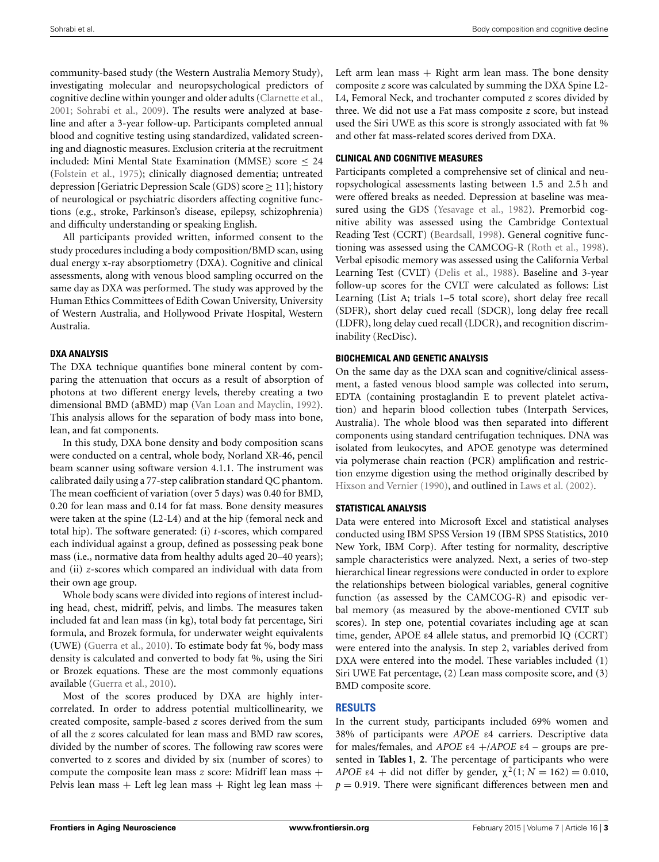community-based study (the Western Australia Memory Study), investigating molecular and neuropsychological predictors of cognitive decline within younger and older adults [\(Clarnette et al.,](#page-9-13) [2001](#page-9-13); [Sohrabi et al.](#page-10-31), [2009\)](#page-10-31). The results were analyzed at baseline and after a 3-year follow-up. Participants completed annual blood and cognitive testing using standardized, validated screening and diagnostic measures. Exclusion criteria at the recruitment included: Mini Mental State Examination (MMSE) score ≤ 24 [\(Folstein et al.](#page-9-14), [1975](#page-9-14)); clinically diagnosed dementia; untreated depression [Geriatric Depression Scale (GDS) score ≥ 11]; history of neurological or psychiatric disorders affecting cognitive functions (e.g., stroke, Parkinson's disease, epilepsy, schizophrenia) and difficulty understanding or speaking English.

All participants provided written, informed consent to the study procedures including a body composition/BMD scan, using dual energy x-ray absorptiometry (DXA). Cognitive and clinical assessments, along with venous blood sampling occurred on the same day as DXA was performed. The study was approved by the Human Ethics Committees of Edith Cowan University, University of Western Australia, and Hollywood Private Hospital, Western Australia.

## **DXA ANALYSIS**

The DXA technique quantifies bone mineral content by comparing the attenuation that occurs as a result of absorption of photons at two different energy levels, thereby creating a two dimensional BMD (aBMD) map [\(Van Loan and Mayclin, 1992](#page-10-32)). This analysis allows for the separation of body mass into bone, lean, and fat components.

In this study, DXA bone density and body composition scans were conducted on a central, whole body, Norland XR-46, pencil beam scanner using software version 4.1.1. The instrument was calibrated daily using a 77-step calibration standard QC phantom. The mean coefficient of variation (over 5 days) was 0.40 for BMD, 0.20 for lean mass and 0.14 for fat mass. Bone density measures were taken at the spine (L2-L4) and at the hip (femoral neck and total hip). The software generated: (i) *t*-scores, which compared each individual against a group, defined as possessing peak bone mass (i.e., normative data from healthy adults aged 20–40 years); and (ii) *z*-scores which compared an individual with data from their own age group.

Whole body scans were divided into regions of interest including head, chest, midriff, pelvis, and limbs. The measures taken included fat and lean mass (in kg), total body fat percentage, Siri formula, and Brozek formula, for underwater weight equivalents (UWE) [\(Guerra et al.](#page-10-33), [2010](#page-10-33)). To estimate body fat %, body mass density is calculated and converted to body fat %, using the Siri or Brozek equations. These are the most commonly equations available [\(Guerra et al., 2010](#page-10-33)).

Most of the scores produced by DXA are highly intercorrelated. In order to address potential multicollinearity, we created composite, sample-based *z* scores derived from the sum of all the *z* scores calculated for lean mass and BMD raw scores, divided by the number of scores. The following raw scores were converted to z scores and divided by six (number of scores) to compute the composite lean mass *z* score: Midriff lean mass + Pelvis lean mass + Left leg lean mass + Right leg lean mass +

Left arm lean mass  $+$  Right arm lean mass. The bone density composite *z* score was calculated by summing the DXA Spine L2- L4, Femoral Neck, and trochanter computed *z* scores divided by three. We did not use a Fat mass composite *z* score, but instead used the Siri UWE as this score is strongly associated with fat % and other fat mass-related scores derived from DXA.

## **CLINICAL AND COGNITIVE MEASURES**

Participants completed a comprehensive set of clinical and neuropsychological assessments lasting between 1.5 and 2.5 h and were offered breaks as needed. Depression at baseline was measured using the GDS [\(Yesavage et al., 1982\)](#page-11-8). Premorbid cognitive ability was assessed using the Cambridge Contextual Reading Test (CCRT) [\(Beardsall, 1998](#page-9-15)). General cognitive functioning was assessed using the CAMCOG-R [\(Roth et al.](#page-10-34), [1998](#page-10-34)). Verbal episodic memory was assessed using the California Verbal Learning Test (CVLT) [\(Delis et al., 1988](#page-9-16)). Baseline and 3-year follow-up scores for the CVLT were calculated as follows: List Learning (List A; trials 1–5 total score), short delay free recall (SDFR), short delay cued recall (SDCR), long delay free recall (LDFR), long delay cued recall (LDCR), and recognition discriminability (RecDisc).

## **BIOCHEMICAL AND GENETIC ANALYSIS**

On the same day as the DXA scan and cognitive/clinical assessment, a fasted venous blood sample was collected into serum, EDTA (containing prostaglandin E to prevent platelet activation) and heparin blood collection tubes (Interpath Services, Australia). The whole blood was then separated into different components using standard centrifugation techniques. DNA was isolated from leukocytes, and APOE genotype was determined via polymerase chain reaction (PCR) amplification and restriction enzyme digestion using the method originally described by [Hixson and Vernier](#page-10-35) [\(1990](#page-10-35)), and outlined in [Laws et al.](#page-10-36) [\(2002\)](#page-10-36).

## **STATISTICAL ANALYSIS**

Data were entered into Microsoft Excel and statistical analyses conducted using IBM SPSS Version 19 (IBM SPSS Statistics, 2010 New York, IBM Corp). After testing for normality, descriptive sample characteristics were analyzed. Next, a series of two-step hierarchical linear regressions were conducted in order to explore the relationships between biological variables, general cognitive function (as assessed by the CAMCOG-R) and episodic verbal memory (as measured by the above-mentioned CVLT sub scores). In step one, potential covariates including age at scan time, gender, APOE ε4 allele status, and premorbid IQ (CCRT) were entered into the analysis. In step 2, variables derived from DXA were entered into the model. These variables included (1) Siri UWE Fat percentage, (2) Lean mass composite score, and (3) BMD composite score.

## **RESULTS**

In the current study, participants included 69% women and 38% of participants were *APOE* ε4 carriers. Descriptive data for males/females, and *APOE* ε4 +/*APOE* ε4 – groups are presented in **[Tables 1](#page-5-0)**, **[2](#page-5-1)**. The percentage of participants who were *APOE*  $\varepsilon 4$  + did not differ by gender,  $\chi^2(1; N = 162) = 0.010$ ,  $p = 0.919$ . There were significant differences between men and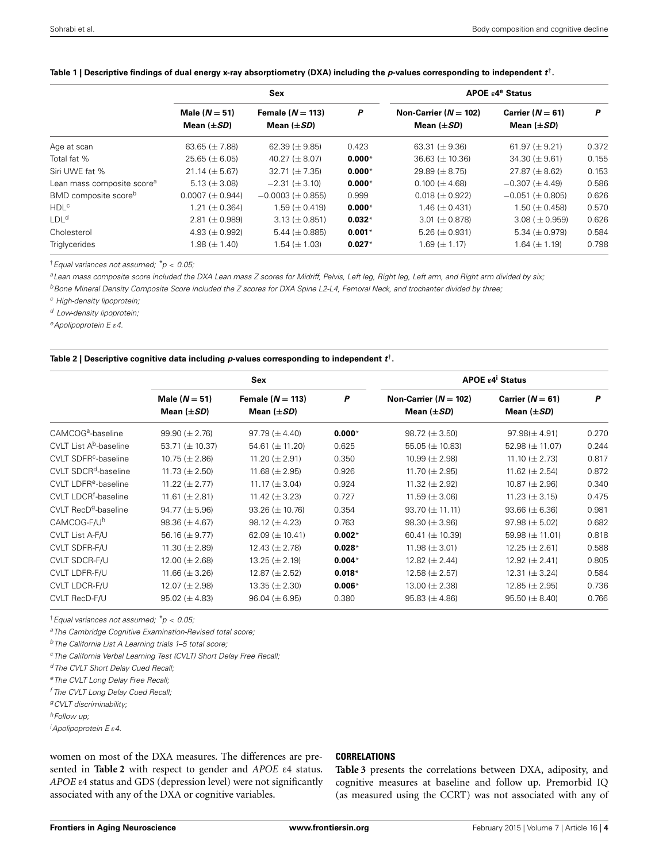|                                        |                                    | Sex                                   |          | APOE $\varepsilon$ 4 <sup>e</sup> Status   |                                       |       |  |
|----------------------------------------|------------------------------------|---------------------------------------|----------|--------------------------------------------|---------------------------------------|-------|--|
|                                        | Male $(N = 51)$<br>Mean $(\pm SD)$ | Female $(N = 113)$<br>Mean $(\pm SD)$ | P        | Non-Carrier $(N = 102)$<br>Mean $(\pm SD)$ | Carrier $(N = 61)$<br>Mean $(\pm SD)$ | P     |  |
|                                        |                                    |                                       |          |                                            |                                       |       |  |
| Age at scan                            | 63.65 ( $\pm$ 7.88)                | 62.39 ( $\pm$ 9.85)                   | 0.423    | 63.31 ( $\pm$ 9.36)                        | 61.97 $(\pm 9.21)$                    | 0.372 |  |
| Total fat %                            | $25.65 \ (\pm 6.05)$               | 40.27 ( $\pm$ 8.07)                   | $0.000*$ | $36.63 \ (\pm 10.36)$                      | $34.30 \ (\pm 9.61)$                  | 0.155 |  |
| Siri UWE fat %                         | $21.14 \ (\pm 5.67)$               | $32.71 \ (\pm 7.35)$                  | $0.000*$ | $29.89 \ (\pm 8.75)$                       | $27.87 \ (\pm 8.62)$                  | 0.153 |  |
| Lean mass composite score <sup>a</sup> | 5.13 ( $\pm$ 3.08)                 | $-2.31 \ (\pm 3.10)$                  | $0.000*$ | $0.100 \ (\pm 4.68)$                       | $-0.307 \ (\pm 4.49)$                 | 0.586 |  |
| BMD composite score <sup>b</sup>       | $0.0007 (\pm 0.944)$               | $-0.0003$ ( $\pm$ 0.855)              | 0.999    | $0.018 \ (\pm 0.922)$                      | $-0.051$ ( $\pm$ 0.805)               | 0.626 |  |
| <b>HDL<sup>c</sup></b>                 | 1.21 ( $\pm$ 0.364)                | $1.59 \ (\pm 0.419)$                  | $0.000*$ | $1.46 \ (\pm 0.431)$                       | $1.50 \ (\pm 0.458)$                  | 0.570 |  |
| LDL <sup>d</sup>                       | $2.81 \ (\pm 0.989)$               | $3.13 \ (\pm 0.851)$                  | $0.032*$ | $3.01 \ (\pm 0.878)$                       | $3.08$ ( $\pm$ 0.959)                 | 0.626 |  |
| Cholesterol                            | 4.93 ( $\pm$ 0.992)                | 5.44 ( $\pm$ 0.885)                   | $0.001*$ | 5.26 ( $\pm$ 0.931)                        | 5.34 ( $\pm$ 0.979)                   | 0.584 |  |
| Triglycerides                          | $1.98 \ (\pm 1.40)$                | $1.54 \ (\pm 1.03)$                   | $0.027*$ | 1.69 ( $\pm$ 1.17)                         | $1.64 \ (\pm 1.19)$                   | 0.798 |  |

#### <span id="page-5-0"></span>**Table 1 | Descriptive findings of dual energy x-ray absorptiometry (DXA) including the** *p***-values corresponding to independent** *t***†.**

†*Equal variances not assumed; \*p* < *0.05;*

*aLean mass composite score included the DXA Lean mass Z scores for Midriff, Pelvis, Left leg, Right leg, Left arm, and Right arm divided by six;*

*bBone Mineral Density Composite Score included the Z scores for DXA Spine L2-L4, Femoral Neck, and trochanter divided by three;*

*<sup>c</sup> High-density lipoprotein;*

*<sup>d</sup> Low-density lipoprotein;*

*eApolipoprotein E* ε*4.*

#### <span id="page-5-1"></span>**Table 2 | Descriptive cognitive data including** *p***-values corresponding to independent** *t***†.**

|                                    | Sex                                |                                       |          | <b>APOE ε4<sup>i</sup> Status</b>            |                                       |       |  |
|------------------------------------|------------------------------------|---------------------------------------|----------|----------------------------------------------|---------------------------------------|-------|--|
|                                    | Male $(N = 51)$<br>Mean $(\pm SD)$ | Female $(N = 113)$<br>Mean $(\pm SD)$ | P        | Non-Carrier ( $N = 102$ )<br>Mean $(\pm SD)$ | Carrier $(N = 61)$<br>Mean $(\pm SD)$ | P     |  |
| CAMCOG <sup>a</sup> -baseline      | $99.90 \ (\pm 2.76)$               | $97.79 \ (\pm 4.40)$                  | $0.000*$ | $98.72 \ (\pm 3.50)$                         | $97.98 (\pm 4.91)$                    | 0.270 |  |
| CVLT List A <sup>b</sup> -baseline | 53.71 ( $\pm$ 10.37)               | 54.61 ( $\pm$ 11.20)                  | 0.625    | 55.05 ( $\pm$ 10.83)                         | 52.98 ( $\pm$ 11.07)                  | 0.244 |  |
| CVLT SDFR <sup>c</sup> -baseline   | $10.75 \ (\pm 2.86)$               | 11.20 ( $\pm$ 2.91)                   | 0.350    | 10.99 ( $\pm$ 2.98)                          | 11.10 ( $\pm$ 2.73)                   | 0.817 |  |
| CVLT SDCR <sup>d</sup> -baseline   | 11.73 ( $\pm$ 2.50)                | 11.68 ( $\pm$ 2.95)                   | 0.926    | 11.70 ( $\pm$ 2.95)                          | 11.62 ( $\pm$ 2.54)                   | 0.872 |  |
| CVLT LDFR <sup>e</sup> -baseline   | 11.22 ( $\pm$ 2.77)                | 11.17 ( $\pm$ 3.04)                   | 0.924    | 11.32 ( $\pm$ 2.92)                          | $10.87 \ (\pm 2.96)$                  | 0.340 |  |
| CVLT LDCR <sup>†</sup> -baseline   | 11.61 ( $\pm$ 2.81)                | 11.42 ( $\pm$ 3.23)                   | 0.727    | 11.59 ( $\pm$ 3.06)                          | 11.23 ( $\pm$ 3.15)                   | 0.475 |  |
| CVLT RecD <sup>g</sup> -baseline   | $94.77 \ (\pm 5.96)$               | $93.26 \ (\pm 10.76)$                 | 0.354    | $93.70 \ (\pm 11.11)$                        | $93.66 (\pm 6.36)$                    | 0.981 |  |
| CAMCOG-F/U <sup>h</sup>            | $98.36 (\pm 4.67)$                 | 98.12 ( $\pm$ 4.23)                   | 0.763    | $98.30 (\pm 3.96)$                           | $97.98 \ (\pm 5.02)$                  | 0.682 |  |
| CVLT List A-F/U                    | 56.16 ( $\pm$ 9.77)                | 62.09 ( $\pm$ 10.41)                  | $0.002*$ | 60.41 ( $\pm$ 10.39)                         | 59.98 ( $\pm$ 11.01)                  | 0.818 |  |
| CVLT SDFR-F/U                      | 11.30 ( $\pm$ 2.89)                | 12.43 ( $\pm$ 2.78)                   | $0.028*$ | 11.98 ( $\pm$ 3.01)                          | $12.25 \ (\pm 2.61)$                  | 0.588 |  |
| CVLT SDCR-F/U                      | 12.00 ( $\pm$ 2.68)                | $13.25 \ (\pm 2.19)$                  | $0.004*$ | 12.82 ( $\pm$ 2.44)                          | 12.92 $(\pm 2.41)$                    | 0.805 |  |
| CVLT LDFR-F/U                      | 11.66 ( $\pm$ 3.26)                | 12.87 ( $\pm$ 2.52)                   | $0.018*$ | $12.58 \ (\pm 2.57)$                         | 12.31 ( $\pm$ 3.24)                   | 0.584 |  |
| CVLT LDCR-F/U                      | 12.07 ( $\pm$ 2.98)                | $13.35 \ (\pm 2.30)$                  | $0.006*$ | 13.00 ( $\pm$ 2.38)                          | $12.85 \ (\pm 2.95)$                  | 0.736 |  |
| CVLT RecD-F/U                      | $95.02 \ (\pm 4.83)$               | $96.04 (\pm 6.95)$                    | 0.380    | $95.83 \ (\pm 4.86)$                         | $95.50 \ (\pm 8.40)$                  | 0.766 |  |

†*Equal variances not assumed; \*p* < *0.05;*

*aThe Cambridge Cognitive Examination-Revised total score;*

*bThe California List A Learning trials 1–5 total score;*

*cThe California Verbal Learning Test (CVLT) Short Delay Free Recall;*

*<sup>d</sup> The CVLT Short Delay Cued Recall;*

*eThe CVLT Long Delay Free Recall;*

*<sup>f</sup> The CVLT Long Delay Cued Recall;*

*gCVLT discriminability;*

*hFollow up;*

*i Apolipoprotein E* ε*4.*

women on most of the DXA measures. The differences are presented in **[Table 2](#page-5-1)** with respect to gender and *APOE* ε4 status. *APOE* ε4 status and GDS (depression level) were not significantly associated with any of the DXA or cognitive variables.

#### **CORRELATIONS**

**[Table 3](#page-6-0)** presents the correlations between DXA, adiposity, and cognitive measures at baseline and follow up. Premorbid IQ (as measured using the CCRT) was not associated with any of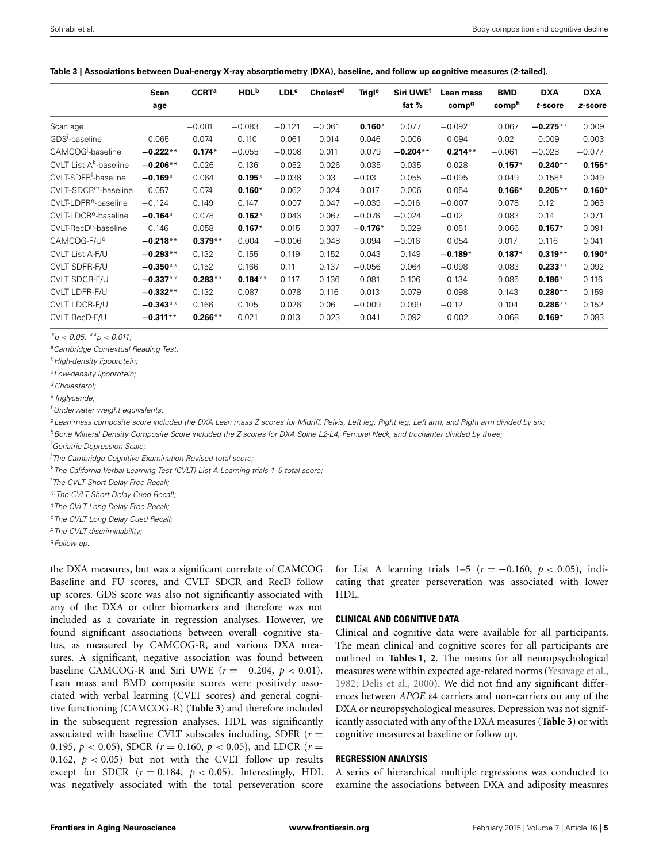<span id="page-6-0"></span>

|  | Table 3   Associations between Dual-energy X-ray absorptiometry (DXA), baseline, and follow up cognitive measures (2-tailed). |  |  |  |  |  |  |  |
|--|-------------------------------------------------------------------------------------------------------------------------------|--|--|--|--|--|--|--|
|--|-------------------------------------------------------------------------------------------------------------------------------|--|--|--|--|--|--|--|

|                                    | Scan       | <b>CCRT<sup>a</sup></b> | HDL <sup>b</sup> | <b>LDL<sup>c</sup></b> | Cholest <sup>d</sup> | <b>Trigl<sup>e</sup></b> | Siri UWE <sup>f</sup> | Lean mass         | <b>BMD</b> | <b>DXA</b> | <b>DXA</b> |
|------------------------------------|------------|-------------------------|------------------|------------------------|----------------------|--------------------------|-----------------------|-------------------|------------|------------|------------|
|                                    | age        |                         |                  |                        |                      |                          | fat $%$               | comp <sup>g</sup> | comph      | t-score    | z-score    |
| Scan age                           |            | $-0.001$                | $-0.083$         | $-0.121$               | $-0.061$             | $0.160*$                 | 0.077                 | $-0.092$          | 0.067      | $-0.275**$ | 0.009      |
| GDS <sup>1</sup> -baseline         | $-0.065$   | $-0.074$                | $-0.110$         | 0.061                  | $-0.014$             | $-0.046$                 | 0.006                 | 0.094             | $-0.02$    | $-0.009$   | $-0.003$   |
| CAMCOG <sup>j</sup> -baseline      | $-0.222**$ | $0.174*$                | $-0.055$         | $-0.008$               | 0.011                | 0.079                    | $-0.204**$            | $0.214**$         | $-0.061$   | $-0.028$   | $-0.077$   |
| CVLT List A <sup>k</sup> -baseline | $-0.206**$ | 0.026                   | 0.136            | $-0.052$               | 0.026                | 0.035                    | 0.035                 | $-0.028$          | $0.157*$   | $0.240**$  | $0.155*$   |
| CVLT-SDFR <sup>I</sup> -baseline   | $-0.169*$  | 0.064                   | $0.195*$         | $-0.038$               | 0.03                 | $-0.03$                  | 0.055                 | $-0.095$          | 0.049      | $0.158*$   | 0.049      |
| CVLT-SDCR <sup>m</sup> -baseline   | $-0.057$   | 0.074                   | $0.160*$         | $-0.062$               | 0.024                | 0.017                    | 0.006                 | $-0.054$          | $0.166*$   | $0.205**$  | $0.160*$   |
| CVLT-LDFR <sup>n</sup> -baseline   | $-0.124$   | 0.149                   | 0.147            | 0.007                  | 0.047                | $-0.039$                 | $-0.016$              | $-0.007$          | 0.078      | 0.12       | 0.063      |
| CVLT-LDCR <sup>o</sup> -baseline   | $-0.164*$  | 0.078                   | $0.162*$         | 0.043                  | 0.067                | $-0.076$                 | $-0.024$              | $-0.02$           | 0.083      | 0.14       | 0.071      |
| CVLT-RecD <sup>p</sup> -baseline   | $-0.146$   | $-0.058$                | $0.167*$         | $-0.015$               | $-0.037$             | $-0.176*$                | $-0.029$              | $-0.051$          | 0.066      | $0.157*$   | 0.091      |
| CAMCOG-F/U <sup>q</sup>            | $-0.218**$ | $0.379**$               | 0.004            | $-0.006$               | 0.048                | 0.094                    | $-0.016$              | 0.054             | 0.017      | 0.116      | 0.041      |
| CVLT List A-F/U                    | $-0.293**$ | 0.132                   | 0.155            | 0.119                  | 0.152                | $-0.043$                 | 0.149                 | $-0.189*$         | $0.187*$   | $0.319**$  | $0.190*$   |
| CVLT SDFR-F/U                      | $-0.350**$ | 0.152                   | 0.166            | 0.11                   | 0.137                | $-0.056$                 | 0.064                 | $-0.098$          | 0.083      | $0.233**$  | 0.092      |
| <b>CVLT SDCR-F/U</b>               | $-0.337**$ | $0.283**$               | $0.184**$        | 0.117                  | 0.136                | $-0.081$                 | 0.106                 | $-0.134$          | 0.085      | $0.186*$   | 0.116      |
| <b>CVLT LDFR-F/U</b>               | $-0.332**$ | 0.132                   | 0.087            | 0.078                  | 0.116                | 0.013                    | 0.079                 | $-0.098$          | 0.143      | $0.280**$  | 0.159      |
| <b>CVLT LDCR-F/U</b>               | $-0.343**$ | 0.166                   | 0.105            | 0.026                  | 0.06                 | $-0.009$                 | 0.099                 | $-0.12$           | 0.104      | $0.286**$  | 0.152      |
| CVLT RecD-F/U                      | $-0.311**$ | $0.266**$               | $-0.021$         | 0.013                  | 0.023                | 0.041                    | 0.092                 | 0.002             | 0.068      | $0.169*$   | 0.083      |

*\*p* < *0.05; \*\*p* < *0.011;*

*aCambridge Contextual Reading Test;*

*bHigh-density lipoprotein;*

*cLow-density lipoprotein;*

*dCholesterol;*

*eTriglyceride;*

*<sup>f</sup> Underwater weight equivalents;*

*gLean mass composite score included the DXA Lean mass Z scores for Midriff, Pelvis, Left leg, Right leg, Left arm, and Right arm divided by six;*

*hBone Mineral Density Composite Score included the Z scores for DXA Spine L2-L4, Femoral Neck, and trochanter divided by three;*

*i Geriatric Depression Scale;*

*j The Cambridge Cognitive Examination-Revised total score;*

*kThe California Verbal Learning Test (CVLT) List A Learning trials 1–5 total score;*

*l The CVLT Short Delay Free Recall;*

*mThe CVLT Short Delay Cued Recall;*

*nThe CVLT Long Delay Free Recall;*

*oThe CVLT Long Delay Cued Recall;*

*pThe CVLT discriminability;*

*qFollow up.*

the DXA measures, but was a significant correlate of CAMCOG Baseline and FU scores, and CVLT SDCR and RecD follow up scores. GDS score was also not significantly associated with any of the DXA or other biomarkers and therefore was not included as a covariate in regression analyses. However, we found significant associations between overall cognitive status, as measured by CAMCOG-R, and various DXA measures. A significant, negative association was found between baseline CAMCOG-R and Siri UWE ( $r = -0.204$ ,  $p < 0.01$ ). Lean mass and BMD composite scores were positively associated with verbal learning (CVLT scores) and general cognitive functioning (CAMCOG-R) (**[Table 3](#page-6-0)**) and therefore included in the subsequent regression analyses. HDL was significantly associated with baseline CVLT subscales including, SDFR  $(r =$ 0.195,  $p < 0.05$ ), SDCR ( $r = 0.160$ ,  $p < 0.05$ ), and LDCR ( $r =$ 0.162,  $p < 0.05$ ) but not with the CVLT follow up results except for SDCR  $(r = 0.184, p < 0.05)$ . Interestingly, HDL was negatively associated with the total perseveration score

for List A learning trials  $1-5$  ( $r = -0.160$ ,  $p < 0.05$ ), indicating that greater perseveration was associated with lower HDL.

#### **CLINICAL AND COGNITIVE DATA**

Clinical and cognitive data were available for all participants. The mean clinical and cognitive scores for all participants are outlined in **[Tables 1](#page-5-0)**, **[2](#page-5-1)**. The means for all neuropsychological measures were within expected age-related norms [\(Yesavage et al.,](#page-11-8) [1982](#page-11-8); [Delis et al.](#page-9-17), [2000](#page-9-17)). We did not find any significant differences between *APOE* ε4 carriers and non-carriers on any of the DXA or neuropsychological measures. Depression was not significantly associated with any of the DXA measures (**[Table 3](#page-6-0)**) or with cognitive measures at baseline or follow up.

#### **REGRESSION ANALYSIS**

A series of hierarchical multiple regressions was conducted to examine the associations between DXA and adiposity measures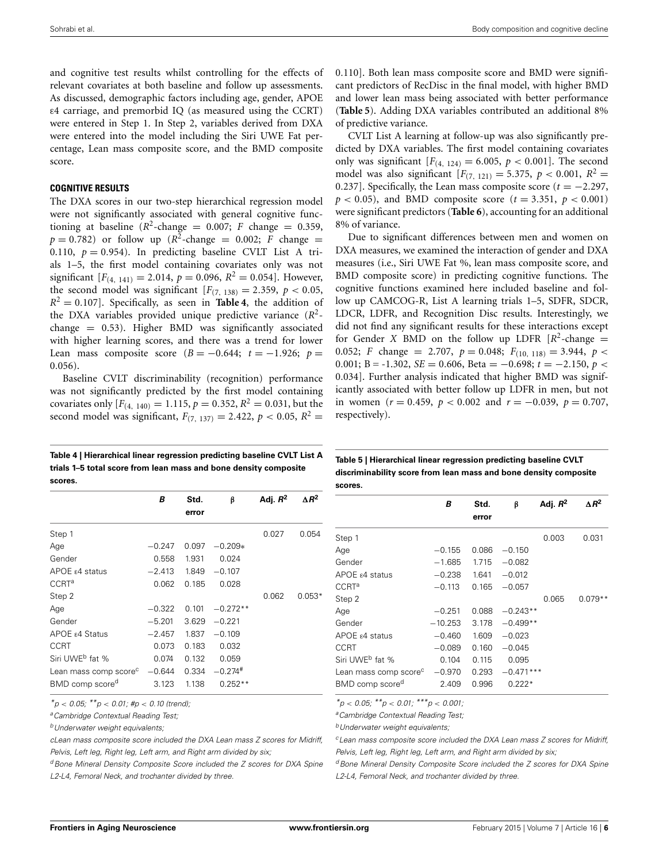and cognitive test results whilst controlling for the effects of relevant covariates at both baseline and follow up assessments. As discussed, demographic factors including age, gender, APOE ε4 carriage, and premorbid IQ (as measured using the CCRT) were entered in Step 1. In Step 2, variables derived from DXA were entered into the model including the Siri UWE Fat percentage, Lean mass composite score, and the BMD composite score.

#### **COGNITIVE RESULTS**

The DXA scores in our two-step hierarchical regression model were not significantly associated with general cognitive functioning at baseline  $(R^2$ -change = 0.007; *F* change = 0.359,  $p = 0.782$ ) or follow up ( $R^2$ -change = 0.002; *F* change = 0.110,  $p = 0.954$ ). In predicting baseline CVLT List A trials 1–5, the first model containing covariates only was not significant  $[F_{(4, 141)} = 2.014, p = 0.096, R^2 = 0.054]$ . However, the second model was significant  $[F_{(7, 138)} = 2.359, p < 0.05,$  $R^2 = 0.107$ . Specifically, as seen in **[Table 4](#page-7-0)**, the addition of the DXA variables provided unique predictive variance  $(R^2 - R^2)$ change = 0.53). Higher BMD was significantly associated with higher learning scores, and there was a trend for lower Lean mass composite score  $(B = -0.644; t = -1.926; p =$ 0.056).

Baseline CVLT discriminability (recognition) performance was not significantly predicted by the first model containing covariates only  $[F_{(4, 140)} = 1.115, p = 0.352, R^2 = 0.031$ , but the second model was significant,  $F_{(7, 137)} = 2.422$ ,  $p < 0.05$ ,  $R^2 =$ 

0.110]. Both lean mass composite score and BMD were significant predictors of RecDisc in the final model, with higher BMD and lower lean mass being associated with better performance (**[Table 5](#page-7-1)**). Adding DXA variables contributed an additional 8% of predictive variance.

CVLT List A learning at follow-up was also significantly predicted by DXA variables. The first model containing covariates only was significant  $[F_{(4, 124)} = 6.005, p < 0.001]$ . The second model was also significant  $[F_{(7, 121)} = 5.375, p < 0.001, R^2 =$ 0.237]. Specifically, the Lean mass composite score  $(t = -2.297,$  $p < 0.05$ ), and BMD composite score ( $t = 3.351$ ,  $p < 0.001$ ) were significant predictors (**[Table 6](#page-8-0)**), accounting for an additional 8% of variance.

Due to significant differences between men and women on DXA measures, we examined the interaction of gender and DXA measures (i.e., Siri UWE Fat %, lean mass composite score, and BMD composite score) in predicting cognitive functions. The cognitive functions examined here included baseline and follow up CAMCOG-R, List A learning trials 1–5, SDFR, SDCR, LDCR, LDFR, and Recognition Disc results. Interestingly, we did not find any significant results for these interactions except for Gender *X* BMD on the follow up LDFR  $[R^2$ -change = 0.052; *F* change = 2.707,  $p = 0.048$ ;  $F_{(10, 118)} = 3.944$ ,  $p <$ 0.001; B =  $-1.302$ , *SE* = 0.606, Beta =  $-0.698$ ;  $t = -2.150$ ,  $p <$ 0.034]. Further analysis indicated that higher BMD was significantly associated with better follow up LDFR in men, but not in women ( $r = 0.459$ ,  $p < 0.002$  and  $r = -0.039$ ,  $p = 0.707$ , respectively).

<span id="page-7-0"></span>

| Table 4   Hierarchical linear regression predicting baseline CVLT List A |
|--------------------------------------------------------------------------|
| trials 1–5 total score from lean mass and bone density composite         |
| scores.                                                                  |

<span id="page-7-1"></span>

| Table 5   Hierarchical linear regression predicting baseline CVLT |
|-------------------------------------------------------------------|
| discriminability score from lean mass and bone density composite  |
| scores.                                                           |
|                                                                   |

|                                   | В        | Std.<br>error | β                     | Adj. $R^2$ | $\Delta R^2$ |
|-----------------------------------|----------|---------------|-----------------------|------------|--------------|
| Step 1                            |          |               |                       | 0.027      | 0.054        |
| Age                               | $-0.247$ | 0.097         | $-0.209*$             |            |              |
| Gender                            | 0.558    | 1.931         | 0.024                 |            |              |
| APOE ε4 status                    | $-2.413$ |               | $1.849 - 0.107$       |            |              |
| $CCRT^a$                          | 0.062    | 0.185         | 0.028                 |            |              |
| Step 2                            |          |               |                       | 0.062      | $0.053*$     |
| Age                               | $-0.322$ | 0.101         | $-0.272**$            |            |              |
| Gender                            | $-5.201$ | 3.629         | $-0.221$              |            |              |
| APOE ε4 Status                    | $-2.457$ | 1.837         | $-0.109$              |            |              |
| CCRT                              | 0.073    | 0.183         | 0.032                 |            |              |
| Siri UWE <sup>b</sup> fat %       | 0.074    | 0.132         | 0.059                 |            |              |
| Lean mass comp score <sup>c</sup> | $-0.644$ | 0.334         | $-0.274$ <sup>#</sup> |            |              |
| BMD comp score <sup>d</sup>       | 3.123    | 1.138         | $0.252**$             |            |              |
|                                   |          |               |                       |            |              |

*\*p* < *0.05; \*\*p* < *0.01; #p* < *0.10 (trend);*

*aCambridge Contextual Reading Test;*

*bUnderwater weight equivalents;*

*cLean mass composite score included the DXA Lean mass Z scores for Midriff, Pelvis, Left leg, Right leg, Left arm, and Right arm divided by six;*

*dBone Mineral Density Composite Score included the Z scores for DXA Spine L2-L4, Femoral Neck, and trochanter divided by three.*

|                                   | В         | Std.<br>error | β           | Adj. $R^2$ | $\triangle R^2$ |
|-----------------------------------|-----------|---------------|-------------|------------|-----------------|
| Step 1                            |           |               |             | 0.003      | 0.031           |
| Age                               | $-0.155$  | 0.086         | $-0.150$    |            |                 |
| Gender                            | $-1.685$  | 1.715         | $-0.082$    |            |                 |
| APOE $\epsilon$ 4 status          | $-0.238$  | 1.641         | $-0.012$    |            |                 |
| <b>CCRT<sup>a</sup></b>           | $-0.113$  | 0.165         | $-0.057$    |            |                 |
| Step 2                            |           |               |             | 0.065      | $0.079**$       |
| Age                               | $-0.251$  | 0.088         | $-0.243**$  |            |                 |
| Gender                            | $-10.253$ | 3.178         | $-0.499**$  |            |                 |
| APOE $\epsilon$ 4 status          | $-0.460$  | 1.609         | $-0.023$    |            |                 |
| CCRT                              | $-0.089$  | 0.160         | $-0.045$    |            |                 |
| Siri UWE <sup>b</sup> fat %       | 0.104     | 0.115         | 0.095       |            |                 |
| Lean mass comp score <sup>c</sup> | $-0.970$  | 0.293         | $-0.471***$ |            |                 |
| BMD comp score <sup>d</sup>       | 2.409     | 0.996         | $0.222*$    |            |                 |
|                                   |           |               |             |            |                 |

*\*p* < *0.05; \*\*p* < *0.01; \*\*\*p* < *0.001;*

*aCambridge Contextual Reading Test;*

*bUnderwater weight equivalents;*

*cLean mass composite score included the DXA Lean mass Z scores for Midriff, Pelvis, Left leg, Right leg, Left arm, and Right arm divided by six;*

*dBone Mineral Density Composite Score included the Z scores for DXA Spine L2-L4, Femoral Neck, and trochanter divided by three.*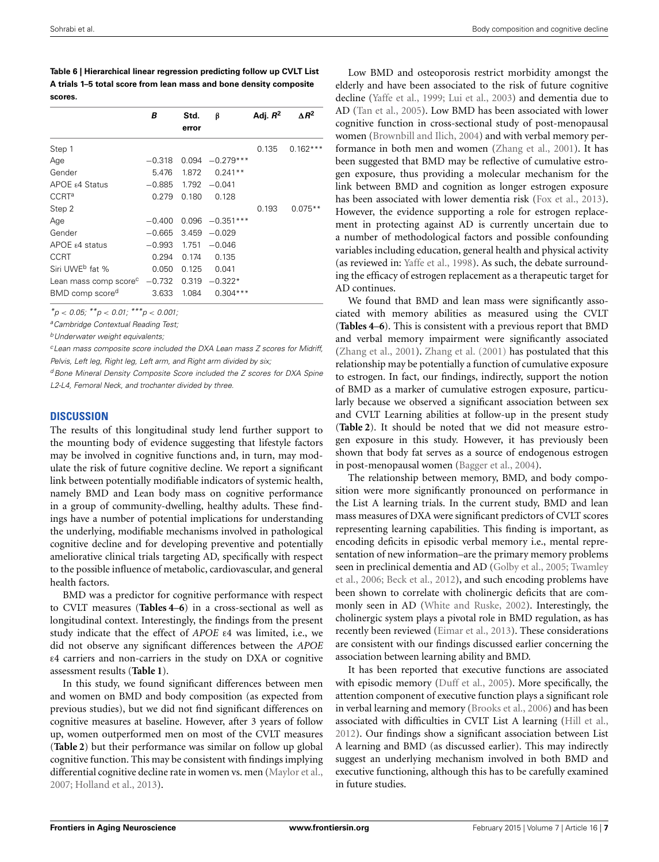<span id="page-8-0"></span>**Table 6 | Hierarchical linear regression predicting follow up CVLT List A trials 1–5 total score from lean mass and bone density composite scores.**

|                                   | В        | Std.  | β                 | Adj. $R^2$ | $\triangle R^2$ |
|-----------------------------------|----------|-------|-------------------|------------|-----------------|
|                                   |          | error |                   |            |                 |
| Step 1                            |          |       |                   | 0.135      | $0.162***$      |
| Age                               | $-0.318$ |       | $0.094 -0.279***$ |            |                 |
| Gender                            | 5.476    | 1.872 | $0.241**$         |            |                 |
| APOE $\epsilon$ 4 Status          | $-0.885$ | 1.792 | $-0.041$          |            |                 |
| <b>CCRT<sup>a</sup></b>           | 0.279    | 0.180 | 0.128             |            |                 |
| Step 2                            |          |       |                   | 0.193      | $0.075**$       |
| Age                               | $-0.400$ | 0.096 | $-0.351***$       |            |                 |
| Gender                            | $-0.665$ | 3.459 | $-0.029$          |            |                 |
| $APOE$ $\varepsilon$ 4 status     | $-0.993$ | 1.751 | $-0.046$          |            |                 |
| CCRT                              | 0.294    | 0.174 | 0.135             |            |                 |
| Siri UWE <sup>b</sup> fat %       | 0.050    | 0.125 | 0.041             |            |                 |
| Lean mass comp score <sup>c</sup> | $-0.732$ | 0.319 | $-0.322*$         |            |                 |
| BMD comp score <sup>d</sup>       | 3.633    | 1.084 | $0.304***$        |            |                 |

*\*p* < *0.05; \*\*p* < *0.01; \*\*\*p* < *0.001;*

*aCambridge Contextual Reading Test;*

*bUnderwater weight equivalents;*

*cLean mass composite score included the DXA Lean mass Z scores for Midriff, Pelvis, Left leg, Right leg, Left arm, and Right arm divided by six;*

<sup>*d*</sup> Bone Mineral Density Composite Score included the Z scores for DXA Spine *L2-L4, Femoral Neck, and trochanter divided by three.*

## **DISCUSSION**

The results of this longitudinal study lend further support to the mounting body of evidence suggesting that lifestyle factors may be involved in cognitive functions and, in turn, may modulate the risk of future cognitive decline. We report a significant link between potentially modifiable indicators of systemic health, namely BMD and Lean body mass on cognitive performance in a group of community-dwelling, healthy adults. These findings have a number of potential implications for understanding the underlying, modifiable mechanisms involved in pathological cognitive decline and for developing preventive and potentially ameliorative clinical trials targeting AD, specifically with respect to the possible influence of metabolic, cardiovascular, and general health factors.

BMD was a predictor for cognitive performance with respect to CVLT measures (**[Tables 4](#page-7-0)**–**[6](#page-8-0)**) in a cross-sectional as well as longitudinal context. Interestingly, the findings from the present study indicate that the effect of *APOE* ε4 was limited, i.e., we did not observe any significant differences between the *APOE* ε4 carriers and non-carriers in the study on DXA or cognitive assessment results (**[Table 1](#page-5-0)**).

In this study, we found significant differences between men and women on BMD and body composition (as expected from previous studies), but we did not find significant differences on cognitive measures at baseline. However, after 3 years of follow up, women outperformed men on most of the CVLT measures (**[Table 2](#page-5-1)**) but their performance was similar on follow up global cognitive function. This may be consistent with findings implying differential cognitive decline rate in women vs. men [\(Maylor et al.,](#page-10-37) [2007](#page-10-37); [Holland et al.](#page-10-38), [2013\)](#page-10-38).

Low BMD and osteoporosis restrict morbidity amongst the elderly and have been associated to the risk of future cognitive decline [\(Yaffe et al., 1999](#page-11-9); [Lui et al.](#page-10-7), [2003\)](#page-10-7) and dementia due to AD [\(Tan et al., 2005\)](#page-10-13). Low BMD has been associated with lower cognitive function in cross-sectional study of post-menopausal women [\(Brownbill and Ilich](#page-9-18), [2004\)](#page-9-18) and with verbal memory performance in both men and women [\(Zhang et al., 2001\)](#page-11-10). It has been suggested that BMD may be reflective of cumulative estrogen exposure, thus providing a molecular mechanism for the link between BMD and cognition as longer estrogen exposure has been associated with lower dementia risk [\(Fox et al.](#page-10-39), [2013](#page-10-39)). However, the evidence supporting a role for estrogen replacement in protecting against AD is currently uncertain due to a number of methodological factors and possible confounding variables including education, general health and physical activity (as reviewed in: [Yaffe et al.](#page-11-11), [1998\)](#page-11-11). As such, the debate surrounding the efficacy of estrogen replacement as a therapeutic target for AD continues.

We found that BMD and lean mass were significantly associated with memory abilities as measured using the CVLT (**[Tables 4](#page-7-0)**–**[6](#page-8-0)**). This is consistent with a previous report that BMD and verbal memory impairment were significantly associated [\(Zhang et al.](#page-11-10), [2001\)](#page-11-10). [Zhang et al.](#page-11-10) [\(2001](#page-11-10)) has postulated that this relationship may be potentially a function of cumulative exposure to estrogen. In fact, our findings, indirectly, support the notion of BMD as a marker of cumulative estrogen exposure, particularly because we observed a significant association between sex and CVLT Learning abilities at follow-up in the present study (**[Table 2](#page-5-1)**). It should be noted that we did not measure estrogen exposure in this study. However, it has previously been shown that body fat serves as a source of endogenous estrogen in post-menopausal women [\(Bagger et al., 2004\)](#page-9-19).

The relationship between memory, BMD, and body composition were more significantly pronounced on performance in the List A learning trials. In the current study, BMD and lean mass measures of DXA were significant predictors of CVLT scores representing learning capabilities. This finding is important, as encoding deficits in episodic verbal memory i.e., mental representation of new information–are the primary memory problems seen [in preclinical dementia and AD](#page-10-41) [\(Golby et al.](#page-10-40)[,](#page-10-41) [2005;](#page-10-40) Twamley et al., [2006;](#page-10-41) [Beck et al.](#page-9-20), [2012\)](#page-9-20), and such encoding problems have been shown to correlate with cholinergic deficits that are commonly seen in AD [\(White and Ruske](#page-11-12), [2002](#page-11-12)). Interestingly, the cholinergic system plays a pivotal role in BMD regulation, as has recently been reviewed [\(Eimar et al., 2013\)](#page-9-21). These considerations are consistent with our findings discussed earlier concerning the association between learning ability and BMD.

It has been reported that executive functions are associated with episodic memory [\(Duff et al.](#page-9-22), [2005\)](#page-9-22). More specifically, the attention component of executive function plays a significant role in verbal learning and memory [\(Brooks et al., 2006](#page-9-23)) and has been associated with difficulties in CVLT List A learning [\(Hill et al.,](#page-10-42) [2012](#page-10-42)). Our findings show a significant association between List A learning and BMD (as discussed earlier). This may indirectly suggest an underlying mechanism involved in both BMD and executive functioning, although this has to be carefully examined in future studies.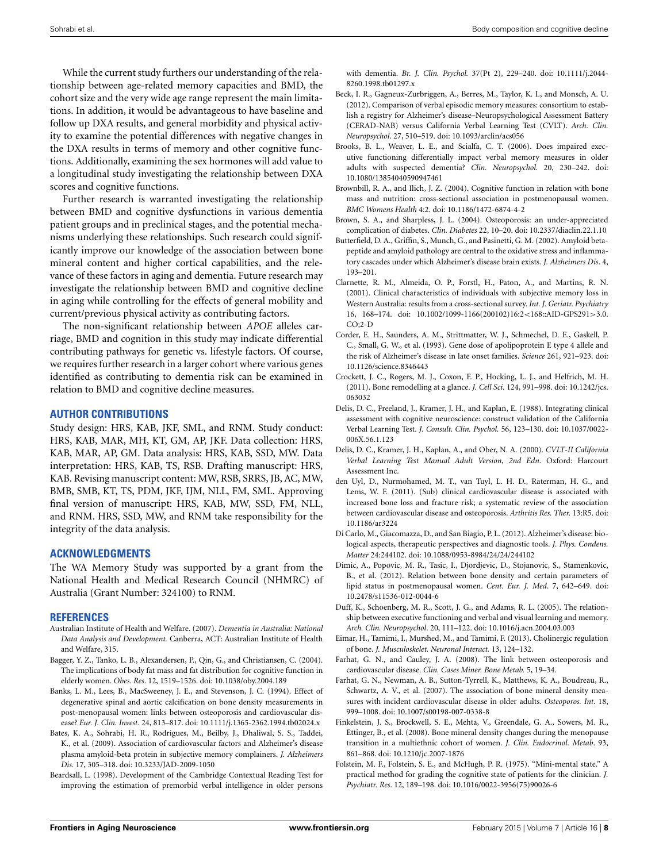While the current study furthers our understanding of the relationship between age-related memory capacities and BMD, the cohort size and the very wide age range represent the main limitations. In addition, it would be advantageous to have baseline and follow up DXA results, and general morbidity and physical activity to examine the potential differences with negative changes in the DXA results in terms of memory and other cognitive functions. Additionally, examining the sex hormones will add value to a longitudinal study investigating the relationship between DXA scores and cognitive functions.

Further research is warranted investigating the relationship between BMD and cognitive dysfunctions in various dementia patient groups and in preclinical stages, and the potential mechanisms underlying these relationships. Such research could significantly improve our knowledge of the association between bone mineral content and higher cortical capabilities, and the relevance of these factors in aging and dementia. Future research may investigate the relationship between BMD and cognitive decline in aging while controlling for the effects of general mobility and current/previous physical activity as contributing factors.

The non-significant relationship between *APOE* alleles carriage, BMD and cognition in this study may indicate differential contributing pathways for genetic vs. lifestyle factors. Of course, we requires further research in a larger cohort where various genes identified as contributing to dementia risk can be examined in relation to BMD and cognitive decline measures.

#### **AUTHOR CONTRIBUTIONS**

Study design: HRS, KAB, JKF, SML, and RNM. Study conduct: HRS, KAB, MAR, MH, KT, GM, AP, JKF. Data collection: HRS, KAB, MAR, AP, GM. Data analysis: HRS, KAB, SSD, MW. Data interpretation: HRS, KAB, TS, RSB. Drafting manuscript: HRS, KAB. Revising manuscript content: MW, RSB, SRRS, JB, AC, MW, BMB, SMB, KT, TS, PDM, JKF, IJM, NLL, FM, SML. Approving final version of manuscript: HRS, KAB, MW, SSD, FM, NLL, and RNM. HRS, SSD, MW, and RNM take responsibility for the integrity of the data analysis.

#### **ACKNOWLEDGMENTS**

The WA Memory Study was supported by a grant from the National Health and Medical Research Council (NHMRC) of Australia (Grant Number: 324100) to RNM.

#### **REFERENCES**

- <span id="page-9-0"></span>Australian Institute of Health and Welfare. (2007). *Dementia in Australia: National Data Analysis and Development.* Canberra, ACT: Australian Institute of Health and Welfare, 315.
- <span id="page-9-19"></span>Bagger, Y. Z., Tanko, L. B., Alexandersen, P., Qin, G., and Christiansen, C. (2004). The implications of body fat mass and fat distribution for cognitive function in elderly women. *Obes. Res*. 12, 1519–1526. doi: 10.1038/oby.2004.189
- <span id="page-9-5"></span>Banks, L. M., Lees, B., MacSweeney, J. E., and Stevenson, J. C. (1994). Effect of degenerative spinal and aortic calcification on bone density measurements in post-menopausal women: links between osteoporosis and cardiovascular disease? *Eur. J. Clin. Invest.* 24, 813–817. doi: 10.1111/j.1365-2362.1994.tb02024.x
- <span id="page-9-6"></span>Bates, K. A., Sohrabi, H. R., Rodrigues, M., Beilby, J., Dhaliwal, S. S., Taddei, K., et al. (2009). Association of cardiovascular factors and Alzheimer's disease plasma amyloid-beta protein in subjective memory complainers. *J. Alzheimers Dis.* 17, 305–318. doi: 10.3233/JAD-2009-1050
- <span id="page-9-15"></span>Beardsall, L. (1998). Development of the Cambridge Contextual Reading Test for improving the estimation of premorbid verbal intelligence in older persons

with dementia. *Br. J. Clin. Psychol.* 37(Pt 2), 229–240. doi: 10.1111/j.2044- 8260.1998.tb01297.x

- <span id="page-9-20"></span>Beck, I. R., Gagneux-Zurbriggen, A., Berres, M., Taylor, K. I., and Monsch, A. U. (2012). Comparison of verbal episodic memory measures: consortium to establish a registry for Alzheimer's disease–Neuropsychological Assessment Battery (CERAD-NAB) versus California Verbal Learning Test (CVLT). *Arch. Clin. Neuropsychol*. 27, 510–519. doi: 10.1093/arclin/acs056
- <span id="page-9-23"></span>Brooks, B. L., Weaver, L. E., and Scialfa, C. T. (2006). Does impaired executive functioning differentially impact verbal memory measures in older adults with suspected dementia? *Clin. Neuropsychol.* 20, 230–242. doi: 10.1080/13854040590947461
- <span id="page-9-18"></span>Brownbill, R. A., and Ilich, J. Z. (2004). Cognitive function in relation with bone mass and nutrition: cross-sectional association in postmenopausal women. *BMC Womens Health* 4:2. doi: 10.1186/1472-6874-4-2
- <span id="page-9-9"></span>Brown, S. A., and Sharpless, J. L. (2004). Osteoporosis: an under-appreciated complication of diabetes. *Clin. Diabetes* 22, 10–20. doi: 10.2337/diaclin.22.1.10
- <span id="page-9-2"></span>Butterfield, D. A., Griffin, S., Munch, G., and Pasinetti, G. M. (2002). Amyloid betapeptide and amyloid pathology are central to the oxidative stress and inflammatory cascades under which Alzheimer's disease brain exists. *J. Alzheimers Dis*. 4, 193–201.
- <span id="page-9-13"></span>Clarnette, R. M., Almeida, O. P., Forstl, H., Paton, A., and Martins, R. N. (2001). Clinical characteristics of individuals with subjective memory loss in Western Australia: results from a cross-sectional survey. *Int. J. Geriatr. Psychiatry* 16, 168–174. doi: 10.1002/1099-1166(200102)16:2<168::AID-GPS291>3.0. CO;2-D
- <span id="page-9-12"></span>Corder, E. H., Saunders, A. M., Strittmatter, W. J., Schmechel, D. E., Gaskell, P. C., Small, G. W., et al. (1993). Gene dose of apolipoprotein E type 4 allele and the risk of Alzheimer's disease in late onset families. *Science* 261, 921–923. doi: 10.1126/science.8346443
- <span id="page-9-4"></span>Crockett, J. C., Rogers, M. J., Coxon, F. P., Hocking, L. J., and Helfrich, M. H. (2011). Bone remodelling at a glance. *J. Cell Sci*. 124, 991–998. doi: 10.1242/jcs. 063032
- <span id="page-9-16"></span>Delis, D. C., Freeland, J., Kramer, J. H., and Kaplan, E. (1988). Integrating clinical assessment with cognitive neuroscience: construct validation of the California Verbal Learning Test. *J. Consult. Clin. Psychol.* 56, 123–130. doi: 10.1037/0022- 006X.56.1.123
- <span id="page-9-17"></span>Delis, D. C., Kramer, J. H., Kaplan, A., and Ober, N. A. (2000). *CVLT-II California Verbal Learning Test Manual Adult Version*, *2nd Edn*. Oxford: Harcourt Assessment Inc.
- <span id="page-9-7"></span>den Uyl, D., Nurmohamed, M. T., van Tuyl, L. H. D., Raterman, H. G., and Lems, W. F. (2011). (Sub) clinical cardiovascular disease is associated with increased bone loss and fracture risk; a systematic review of the association between cardiovascular disease and osteoporosis. *Arthritis Res. Ther.* 13:R5. doi: 10.1186/ar3224
- <span id="page-9-1"></span>Di Carlo, M., Giacomazza, D., and San Biagio, P. L. (2012). Alzheimer's disease: biological aspects, therapeutic perspectives and diagnostic tools. *J. Phys. Condens. Matter* 24:244102. doi: 10.1088/0953-8984/24/24/244102
- <span id="page-9-10"></span>Dimic, A., Popovic, M. R., Tasic, I., Djordjevic, D., Stojanovic, S., Stamenkovic, B., et al. (2012). Relation between bone density and certain parameters of lipid status in postmenopausal women. *Cent. Eur. J. Med*. 7, 642–649. doi: 10.2478/s11536-012-0044-6
- <span id="page-9-22"></span>Duff, K., Schoenberg, M. R., Scott, J. G., and Adams, R. L. (2005). The relationship between executive functioning and verbal and visual learning and memory. *Arch. Clin. Neuropsychol*. 20, 111–122. doi: 10.1016/j.acn.2004.03.003
- <span id="page-9-21"></span>Eimar, H., Tamimi, I., Murshed, M., and Tamimi, F. (2013). Cholinergic regulation of bone. *J. Musculoskelet. Neuronal Interact.* 13, 124–132.
- <span id="page-9-11"></span>Farhat, G. N., and Cauley, J. A. (2008). The link between osteoporosis and cardiovascular disease. *Clin. Cases Miner. Bone Metab.* 5, 19–34.
- <span id="page-9-8"></span>Farhat, G. N., Newman, A. B., Sutton-Tyrrell, K., Matthews, K. A., Boudreau, R., Schwartz, A. V., et al. (2007). The association of bone mineral density measures with incident cardiovascular disease in older adults. *Osteoporos. Int*. 18, 999–1008. doi: 10.1007/s00198-007-0338-8
- <span id="page-9-3"></span>Finkelstein, J. S., Brockwell, S. E., Mehta, V., Greendale, G. A., Sowers, M. R., Ettinger, B., et al. (2008). Bone mineral density changes during the menopause transition in a multiethnic cohort of women. *J. Clin. Endocrinol. Metab*. 93, 861–868. doi: 10.1210/jc.2007-1876
- <span id="page-9-14"></span>Folstein, M. F., Folstein, S. E., and McHugh, P. R. (1975). "Mini-mental state." A practical method for grading the cognitive state of patients for the clinician. *J. Psychiatr. Res*. 12, 189–198. doi: 10.1016/0022-3956(75)90026-6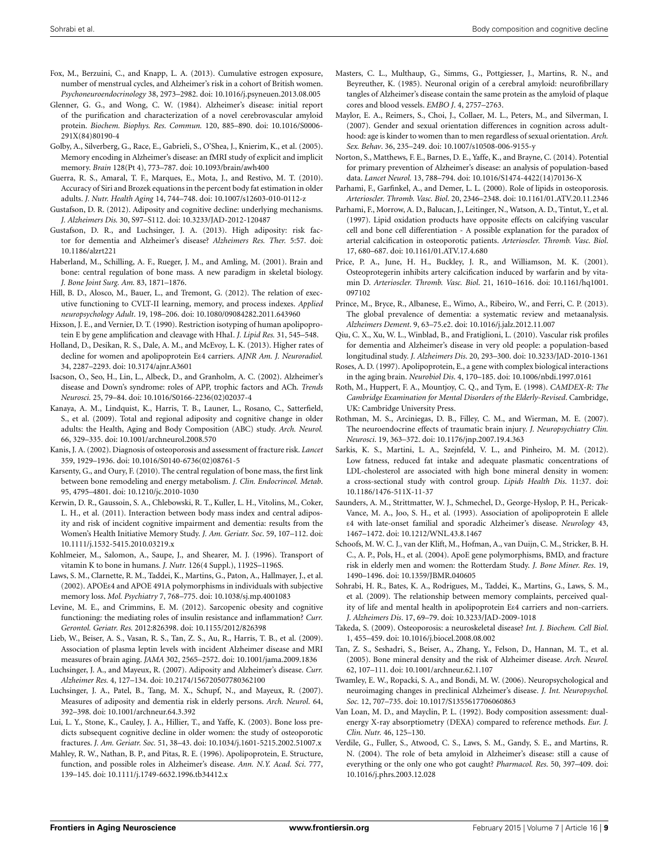- <span id="page-10-39"></span>Fox, M., Berzuini, C., and Knapp, L. A. (2013). Cumulative estrogen exposure, number of menstrual cycles, and Alzheimer's risk in a cohort of British women. *Psychoneuroendocrinology* 38, 2973–2982. doi: 10.1016/j.psyneuen.2013.08.005
- <span id="page-10-4"></span>Glenner, G. G., and Wong, C. W. (1984). Alzheimer's disease: initial report of the purification and characterization of a novel cerebrovascular amyloid protein. *Biochem. Biophys. Res. Commun.* 120, 885–890. doi: 10.1016/S0006- 291X(84)80190-4
- <span id="page-10-40"></span>Golby, A., Silverberg, G., Race, E., Gabrieli, S., O'Shea, J., Knierim, K., et al. (2005). Memory encoding in Alzheimer's disease: an fMRI study of explicit and implicit memory. *Brain* 128(Pt 4), 773–787. doi: 10.1093/brain/awh400
- <span id="page-10-33"></span>Guerra, R. S., Amaral, T. F., Marques, E., Mota, J., and Restivo, M. T. (2010). Accuracy of Siri and Brozek equations in the percent body fat estimation in older adults. *J. Nutr. Health Aging* 14, 744–748. doi: 10.1007/s12603-010-0112-z
- <span id="page-10-19"></span>Gustafson, D. R. (2012). Adiposity and cognitive decline: underlying mechanisms. *J. Alzheimers Dis.* 30, S97–S112. doi: 10.3233/JAD-2012-120487
- <span id="page-10-18"></span>Gustafson, D. R., and Luchsinger, J. A. (2013). High adiposity: risk factor for dementia and Alzheimer's disease? *Alzheimers Res. Ther.* 5:57. doi: 10.1186/alzrt221
- <span id="page-10-9"></span>Haberland, M., Schilling, A. F., Rueger, J. M., and Amling, M. (2001). Brain and bone: central regulation of bone mass. A new paradigm in skeletal biology. *J. Bone Joint Surg. Am.* 83, 1871–1876.
- <span id="page-10-42"></span>Hill, B. D., Alosco, M., Bauer, L., and Tremont, G. (2012). The relation of executive functioning to CVLT-II learning, memory, and process indexes. *Applied neuropsychology Adult*. 19, 198–206. doi: 10.1080/09084282.2011.643960
- <span id="page-10-35"></span>Hixson, J. E., and Vernier, D. T. (1990). Restriction isotyping of human apolipoprotein E by gene amplification and cleavage with HhaI. *J. Lipid Res.* 31, 545–548.
- <span id="page-10-38"></span>Holland, D., Desikan, R. S., Dale, A. M., and McEvoy, L. K. (2013). Higher rates of decline for women and apolipoprotein Eε4 carriers. *AJNR Am. J. Neuroradiol.* 34, 2287–2293. doi: 10.3174/ajnr.A3601
- <span id="page-10-2"></span>Isacson, O., Seo, H., Lin, L., Albeck, D., and Granholm, A. C. (2002). Alzheimer's disease and Down's syndrome: roles of APP, trophic factors and ACh. *Trends Neurosci.* 25, 79–84. doi: 10.1016/S0166-2236(02)02037-4
- <span id="page-10-16"></span>Kanaya, A. M., Lindquist, K., Harris, T. B., Launer, L., Rosano, C., Satterfield, S., et al. (2009). Total and regional adiposity and cognitive change in older adults: the Health, Aging and Body Composition (ABC) study. *Arch. Neurol.* 66, 329–335. doi: 10.1001/archneurol.2008.570
- <span id="page-10-6"></span>Kanis, J. A. (2002). Diagnosis of osteoporosis and assessment of fracture risk. *Lancet* 359, 1929–1936. doi: 10.1016/S0140-6736(02)08761-5
- <span id="page-10-10"></span>Karsenty, G., and Oury, F. (2010). The central regulation of bone mass, the first link between bone remodeling and energy metabolism. *J. Clin. Endocrincol. Metab*. 95, 4795–4801. doi: 10.1210/jc.2010-1030
- <span id="page-10-15"></span>Kerwin, D. R., Gaussoin, S. A., Chlebowski, R. T., Kuller, L. H., Vitolins, M., Coker, L. H., et al. (2011). Interaction between body mass index and central adiposity and risk of incident cognitive impairment and dementia: results from the Women's Health Initiative Memory Study. *J. Am. Geriatr. Soc*. 59, 107–112. doi: 10.1111/j.1532-5415.2010.03219.x
- <span id="page-10-28"></span>Kohlmeier, M., Salomon, A., Saupe, J., and Shearer, M. J. (1996). Transport of vitamin K to bone in humans. *J. Nutr.* 126(4 Suppl.), 1192S–1196S.
- <span id="page-10-36"></span>Laws, S. M., Clarnette, R. M., Taddei, K., Martins, G., Paton, A., Hallmayer, J., et al. (2002). APOEε4 and APOE 491A polymorphisms in individuals with subjective memory loss. *Mol. Psychiatry* 7, 768–775. doi: 10.1038/sj.mp.4001083
- <span id="page-10-17"></span>Levine, M. E., and Crimmins, E. M. (2012). Sarcopenic obesity and cognitive functioning: the mediating roles of insulin resistance and inflammation? *Curr. Gerontol. Geriatr. Res.* 2012:826398. doi: 10.1155/2012/826398
- <span id="page-10-12"></span>Lieb, W., Beiser, A. S., Vasan, R. S., Tan, Z. S., Au, R., Harris, T. B., et al. (2009). Association of plasma leptin levels with incident Alzheimer disease and MRI measures of brain aging. *JAMA* 302, 2565–2572. doi: 10.1001/jama.2009.1836
- <span id="page-10-20"></span>Luchsinger, J. A., and Mayeux, R. (2007). Adiposity and Alzheimer's disease. *Curr. Alzheimer Res.* 4, 127–134. doi: 10.2174/156720507780362100
- <span id="page-10-14"></span>Luchsinger, J. A., Patel, B., Tang, M. X., Schupf, N., and Mayeux, R. (2007). Measures of adiposity and dementia risk in elderly persons. *Arch. Neurol*. 64, 392–398. doi: 10.1001/archneur.64.3.392
- <span id="page-10-7"></span>Lui, L. Y., Stone, K., Cauley, J. A., Hillier, T., and Yaffe, K. (2003). Bone loss predicts subsequent cognitive decline in older women: the study of osteoporotic fractures. *J. Am. Geriatr. Soc.* 51, 38–43. doi: 10.1034/j.1601-5215.2002.51007.x
- <span id="page-10-27"></span>Mahley, R. W., Nathan, B. P., and Pitas, R. E. (1996). Apolipoprotein, E. Structure, function, and possible roles in Alzheimer's disease. *Ann. N.Y. Acad. Sci*. 777, 139–145. doi: 10.1111/j.1749-6632.1996.tb34412.x
- <span id="page-10-5"></span>Masters, C. L., Multhaup, G., Simms, G., Pottgiesser, J., Martins, R. N., and Beyreuther, K. (1985). Neuronal origin of a cerebral amyloid: neurofibrillary tangles of Alzheimer's disease contain the same protein as the amyloid of plaque cores and blood vessels. *EMBO J*. 4, 2757–2763.
- <span id="page-10-37"></span>Maylor, E. A., Reimers, S., Choi, J., Collaer, M. L., Peters, M., and Silverman, I. (2007). Gender and sexual orientation differences in cognition across adulthood: age is kinder to women than to men regardless of sexual orientation. *Arch. Sex. Behav*. 36, 235–249. doi: 10.1007/s10508-006-9155-y
- <span id="page-10-1"></span>Norton, S., Matthews, F. E., Barnes, D. E., Yaffe, K., and Brayne, C. (2014). Potential for primary prevention of Alzheimer's disease: an analysis of population-based data. *Lancet Neurol.* 13, 788–794. doi: 10.1016/S1474-4422(14)70136-X
- <span id="page-10-22"></span>Parhami, F., Garfinkel, A., and Demer, L. L. (2000). Role of lipids in osteoporosis. *Arterioscler. Thromb. Vasc. Biol*. 20, 2346–2348. doi: 10.1161/01.ATV.20.11.2346
- <span id="page-10-29"></span>Parhami, F., Morrow, A. D., Balucan, J., Leitinger, N., Watson, A. D., Tintut, Y., et al. (1997). Lipid oxidation products have opposite effects on calcifying vascular cell and bone cell differentiation - A possible explanation for the paradox of arterial calcification in osteoporotic patients. *Arterioscler. Thromb. Vasc. Biol*. 17, 680–687. doi: 10.1161/01.ATV.17.4.680
- <span id="page-10-23"></span>Price, P. A., June, H. H., Buckley, J. R., and Williamson, M. K. (2001). Osteoprotegerin inhibits artery calcification induced by warfarin and by vitamin D. *Arterioscler. Thromb. Vasc. Biol*. 21, 1610–1616. doi: 10.1161/hq1001. 097102
- <span id="page-10-0"></span>Prince, M., Bryce, R., Albanese, E., Wimo, A., Ribeiro, W., and Ferri, C. P. (2013). The global prevalence of dementia: a systematic review and metaanalysis. *Alzheimers Dement*. 9, 63–75.e2. doi: 10.1016/j.jalz.2012.11.007
- <span id="page-10-21"></span>Qiu, C. X., Xu, W. L., Winblad, B., and Fratiglioni, L. (2010). Vascular risk profiles for dementia and Alzheimer's disease in very old people: a population-based longitudinal study. *J. Alzheimers Dis*. 20, 293–300. doi: 10.3233/JAD-2010-1361
- <span id="page-10-26"></span>Roses, A. D. (1997). Apolipoprotein, E., a gene with complex biological interactions in the aging brain. *Neurobiol Dis*. 4, 170–185. doi: 10.1006/nbdi.1997.0161
- <span id="page-10-34"></span>Roth, M., Huppert, F. A., Mountjoy, C. Q., and Tym, E. (1998). *CAMDEX-R: The Cambridge Examination for Mental Disorders of the Elderly-Revised*. Cambridge, UK: Cambridge University Press.
- <span id="page-10-8"></span>Rothman, M. S., Arciniegas, D. B., Filley, C. M., and Wierman, M. E. (2007). The neuroendocrine effects of traumatic brain injury. *J. Neuropsychiatry Clin. Neurosci*. 19, 363–372. doi: 10.1176/jnp.2007.19.4.363
- <span id="page-10-24"></span>Sarkis, K. S., Martini, L. A., Szejnfeld, V. L., and Pinheiro, M. M. (2012). Low fatness, reduced fat intake and adequate plasmatic concentrations of LDL-cholesterol are associated with high bone mineral density in women: a cross-sectional study with control group. *Lipids Health Dis*. 11:37. doi: 10.1186/1476-511X-11-37
- <span id="page-10-25"></span>Saunders, A. M., Strittmatter, W. J., Schmechel, D., George-Hyslop, P. H., Pericak-Vance, M. A., Joo, S. H., et al. (1993). Association of apolipoprotein E allele ε4 with late-onset familial and sporadic Alzheimer's disease. *Neurology* 43, 1467–1472. doi: 10.1212/WNL.43.8.1467
- <span id="page-10-30"></span>Schoofs, M. W. C. J., van der Klift, M., Hofman, A., van Duijn, C. M., Stricker, B. H. C., A. P., Pols, H., et al. (2004). ApoE gene polymorphisms, BMD, and fracture risk in elderly men and women: the Rotterdam Study. *J. Bone Miner. Res*. 19, 1490–1496. doi: 10.1359/JBMR.040605
- <span id="page-10-31"></span>Sohrabi, H. R., Bates, K. A., Rodrigues, M., Taddei, K., Martins, G., Laws, S. M., et al. (2009). The relationship between memory complaints, perceived quality of life and mental health in apolipoprotein Eε4 carriers and non-carriers. *J. Alzheimers Dis*. 17, 69–79. doi: 10.3233/JAD-2009-1018
- <span id="page-10-11"></span>Takeda, S. (2009). Osteoporosis: a neuroskeletal disease? *Int. J. Biochem. Cell Biol*. 1, 455–459. doi: 10.1016/j.biocel.2008.08.002
- <span id="page-10-13"></span>Tan, Z. S., Seshadri, S., Beiser, A., Zhang, Y., Felson, D., Hannan, M. T., et al. (2005). Bone mineral density and the risk of Alzheimer disease. *Arch. Neurol.* 62, 107–111. doi: 10.1001/archneur.62.1.107
- <span id="page-10-41"></span>Twamley, E. W., Ropacki, S. A., and Bondi, M. W. (2006). Neuropsychological and neuroimaging changes in preclinical Alzheimer's disease. *J. Int. Neuropsychol. Soc.* 12, 707–735. doi: 10.1017/S1355617706060863
- <span id="page-10-32"></span>Van Loan, M. D., and Mayclin, P. L. (1992). Body composition assessment: dualenergy X-ray absorptiometry (DEXA) compared to reference methods. *Eur. J. Clin. Nutr.* 46, 125–130.
- <span id="page-10-3"></span>Verdile, G., Fuller, S., Atwood, C. S., Laws, S. M., Gandy, S. E., and Martins, R. N. (2004). The role of beta amyloid in Alzheimer's disease: still a cause of everything or the only one who got caught? *Pharmacol. Res*. 50, 397–409. doi: 10.1016/j.phrs.2003.12.028